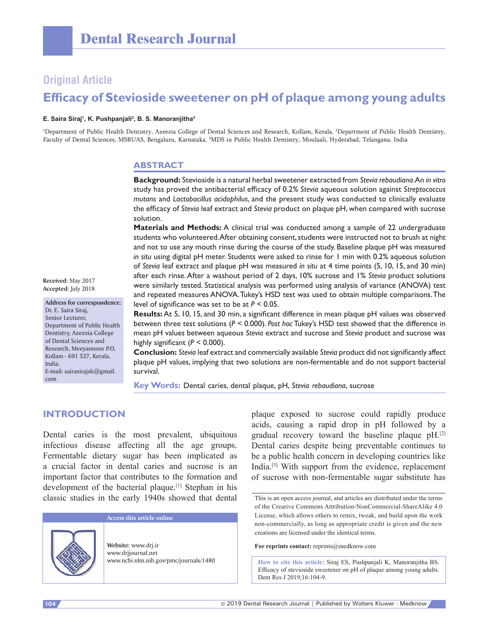## **Original Article**

# **Efficacy of Stevioside sweetener on pH of plaque among young adults**

#### **E. Saira Siraj1 , K. Pushpanjali<sup>2</sup> , B. S. Manoranjitha3**

<sup>1</sup>Department of Public Health Dentistry, Azeezia College of Dental Sciences and Research, Kollam, Kerala, <sup>2</sup>Department of Public Health Dentistry, Faculty of Dental Sciences, MSRUAS, Bengaluru, Karnataka, 3 MDS in Public Health Dentistry, Moulaali, Hyderabad, Telangana, India

#### **ABSTRACT**

**Background:** Stevioside is a natural herbal sweetener extracted from *Stevia rebaudiana*. An *in vitro*  study has proved the antibacterial efficacy of 0.2% *Stevia* aqueous solution against *Streptococcus mutans* and *Lactobacillus acidophilus*, and the present study was conducted to clinically evaluate the efficacy of *Stevia* leaf extract and *Stevia* product on plaque pH, when compared with sucrose solution.

**Materials and Methods:** A clinical trial was conducted among a sample of 22 undergraduate students who volunteered. After obtaining consent, students were instructed not to brush at night and not to use any mouth rinse during the course of the study. Baseline plaque pH was measured *in situ* using digital pH meter. Students were asked to rinse for 1 min with 0.2% aqueous solution of *Stevia* leaf extract and plaque pH was measured *in situ* at 4 time points (5, 10, 15, and 30 min) after each rinse. After a washout period of 2 days, 10% sucrose and 1% *Stevia* product solutions were similarly tested. Statistical analysis was performed using analysis of variance (ANOVA) test and repeated measures ANOVA. Tukey's HSD test was used to obtain multiple comparisons. The level of significance was set to be at *P* < 0.05.

**Results:** At 5, 10, 15, and 30 min, a significant difference in mean plaque pH values was observed between three test solutions (*P* < 0.000). *Post hoc* Tukey's HSD test showed that the difference in mean pH values between aqueous *Stevia* extract and sucrose and *Stevia* product and sucrose was highly significant  $(P < 0.000)$ .

**Conclusion:** *Stevia* leaf extract and commercially available *Stevia* product did not significantly affect plaque pH values, implying that two solutions are non‑fermentable and do not support bacterial survival.

**Key Words:** Dental caries, dental plaque, pH, *Stevia rebaudiana*, sucrose

## **INTRODUCTION**

Dental caries is the most prevalent, ubiquitous infectious disease affecting all the age groups. Fermentable dietary sugar has been implicated as a crucial factor in dental caries and sucrose is an important factor that contributes to the formation and development of the bacterial plaque.<sup>[1]</sup> Stephan in his classic studies in the early 1940s showed that dental

**Access this article online**

**Website:** www.drj.ir www.drjjournal.net

plaque exposed to sucrose could rapidly produce acids, causing a rapid drop in pH followed by a gradual recovery toward the baseline plaque pH.[2] Dental caries despite being preventable continues to be a public health concern in developing countries like India.[3] With support from the evidence, replacement of sucrose with non-fermentable sugar substitute has

For reprints contact: reprints@medknow.com

www.ncbi.nlm.nih.gov/pmc/journals/1480 **How to cite this article:** Siraj ES, Pushpanjali K, Manoranjitha BS. Efficacy of stevioside sweetener on pH of plaque among young adults. Dent Res J 2019;16:104-9.

**Received:** May 2017 **Accepted:** July 2018

**Address for correspondence:** Dr. E. Saira Siraj, Senior Lecturer, Department of Public Health Dentistry, Azeezia College of Dental Sciences and Research, Meeyannoor P.O, Kollam ‑ 691 537, Kerala, India. E‑mail: sairasirajsk@gmail. com

This is an open access journal, and articles are distributed under the terms of the Creative Commons Attribution-NonCommercial-ShareAlike 4.0 License, which allows others to remix, tweak, and build upon the work non-commercially, as long as appropriate credit is given and the new creations are licensed under the identical terms.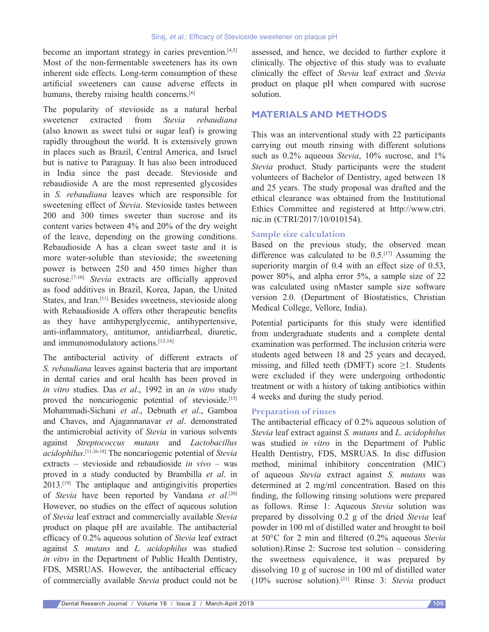become an important strategy in caries prevention.<sup>[4,5]</sup> Most of the non-fermentable sweeteners has its own inherent side effects. Long-term consumption of these artificial sweeteners can cause adverse effects in humans, thereby raising health concerns.<sup>[6]</sup>

The popularity of stevioside as a natural herbal sweetener extracted from *Stevia rebaudiana* (also known as sweet tulsi or sugar leaf) is growing rapidly throughout the world. It is extensively grown in places such as Brazil, Central America, and Israel but is native to Paraguay. It has also been introduced in India since the past decade. Stevioside and rebaudioside A are the most represented glycosides in *S. rebaudiana* leaves which are responsible for sweetening effect of *Stevia*. Stevioside tastes between 200 and 300 times sweeter than sucrose and its content varies between 4% and 20% of the dry weight of the leave, depending on the growing conditions. Rebaudioside A has a clean sweet taste and it is more water-soluble than stevioside; the sweetening power is between 250 and 450 times higher than sucrose.<sup>[7-10]</sup> *Stevia* extracts are officially approved as food additives in Brazil, Korea, Japan, the United States, and Iran.[11] Besides sweetness, stevioside along with Rebaudioside A offers other therapeutic benefits as they have antihyperglycemic, antihypertensive, anti-inflammatory, antitumor, antidiarrheal, diuretic, and immunomodulatory actions.[12-14]

The antibacterial activity of different extracts of *S. rebaudiana* leaves against bacteria that are important in dental caries and oral health has been proved in *in vitro* studies. Das *et al*., 1992 in an *in vitro* study proved the noncariogenic potential of stevioside.<sup>[15]</sup> Mohammadi-Sichani *et al*., Debnath *et al*., Gamboa and Chaves, and Ajagannanavar *et al*. demonstrated the antimicrobial activity of *Stevia* in various solvents against *Streptococcus mutans* and *Lactobacillus acidophilus*. [11,16-18] The noncariogenic potential of *Stevia* extracts – stevioside and rebaudioside *in vivo –* was proved in a study conducted by Brambilla *et al*. in 2013.[19] The antiplaque and antigingivitis properties of *Stevia* have been reported by Vandana *et al*. [20] However, no studies on the effect of aqueous solution of *Stevia* leaf extract and commercially available *Stevia* product on plaque pH are available. The antibacterial efficacy of 0.2% aqueous solution of *Stevia* leaf extract against *S. mutans* and *L. acidophilus* was studied *in vitro* in the Department of Public Health Dentistry, FDS, MSRUAS. However, the antibacterial efficacy of commercially available *Stevia* product could not be

assessed, and hence, we decided to further explore it clinically. The objective of this study was to evaluate clinically the effect of *Stevia* leaf extract and *Stevia* product on plaque pH when compared with sucrose solution.

## **MATERIALS AND METHODS**

This was an interventional study with 22 participants carrying out mouth rinsing with different solutions such as  $0.2\%$  aqueous *Stevia*,  $10\%$  sucrose, and  $1\%$ *Stevia* product. Study participants were the student volunteers of Bachelor of Dentistry, aged between 18 and 25 years. The study proposal was drafted and the ethical clearance was obtained from the Institutional Ethics Committee and registered at http://www.ctri. nic.in (CTRI/2017/10/010154).

## **Sample size calculation**

Based on the previous study, the observed mean difference was calculated to be  $0.5$ .<sup>[17]</sup> Assuming the superiority margin of 0.4 with an effect size of 0.53, power 80%, and alpha error 5%, a sample size of 22 was calculated using nMaster sample size software version 2.0. (Department of Biostatistics, Christian Medical College, Vellore, India).

Potential participants for this study were identified from undergraduate students and a complete dental examination was performed. The inclusion criteria were students aged between 18 and 25 years and decayed, missing, and filled teeth (DMFT) score  $\geq$ 1. Students were excluded if they were undergoing orthodontic treatment or with a history of taking antibiotics within 4 weeks and during the study period.

#### **Preparation of rinses**

The antibacterial efficacy of 0.2% aqueous solution of *Stevia* leaf extract against *S. mutans* and *L. acidophilus* was studied *in vitro* in the Department of Public Health Dentistry, FDS, MSRUAS. In disc diffusion method, minimal inhibitory concentration (MIC) of aqueous *Stevia* extract against *S. mutans* was determined at 2 mg/ml concentration. Based on this finding, the following rinsing solutions were prepared as follows. Rinse 1: Aqueous *Stevia* solution was prepared by dissolving 0.2 g of the dried *Stevia* leaf powder in 100 ml of distilled water and brought to boil at 50°C for 2 min and filtered (0.2% aqueous *Stevia* solution).Rinse 2: Sucrose test solution – considering the sweetness equivalence, it was prepared by dissolving 10 g of sucrose in 100 ml of distilled water (10% sucrose solution).[21] Rinse 3: *Stevia* product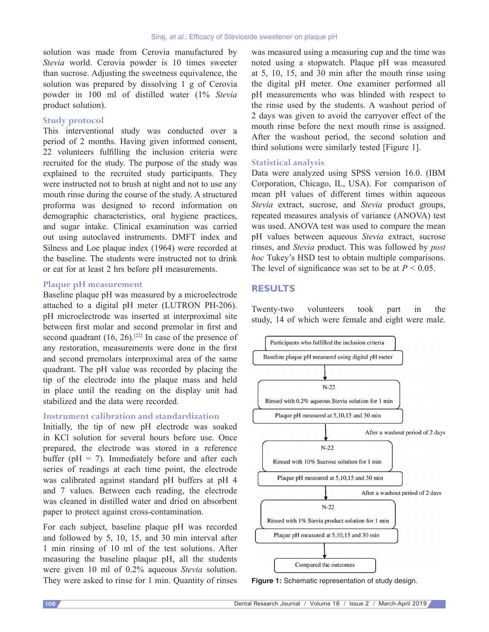solution was made from Cerovia manufactured by *Stevia* world. Cerovia powder is 10 times sweeter than sucrose. Adjusting the sweetness equivalence, the solution was prepared by dissolving 1 g of Cerovia powder in 100 ml of distilled water (1% *Stevia* product solution).

#### **Study protocol**

This interventional study was conducted over a period of 2 months. Having given informed consent, 22 volunteers fulfilling the inclusion criteria were recruited for the study. The purpose of the study was explained to the recruited study participants. They were instructed not to brush at night and not to use any mouth rinse during the course of the study. A structured proforma was designed to record information on demographic characteristics, oral hygiene practices, and sugar intake. Clinical examination was carried out using autoclaved instruments. DMFT index and Silness and Loe plaque index (1964) were recorded at the baseline. The students were instructed not to drink or eat for at least 2 hrs before pH measurements.

#### **Plaque pH measurement**

Baseline plaque pH was measured by a microelectrode attached to a digital pH meter (LUTRON PH-206). pH microelectrode was inserted at interproximal site between first molar and second premolar in first and second quadrant  $(16, 26)$ .<sup>[22]</sup> In case of the presence of any restoration, measurements were done in the first and second premolars interproximal area of the same quadrant. The pH value was recorded by placing the tip of the electrode into the plaque mass and held in place until the reading on the display unit had stabilized and the data were recorded.

## **Instrument calibration and standardization**

Initially, the tip of new pH electrode was soaked in KCl solution for several hours before use. Once prepared, the electrode was stored in a reference buffer ( $pH = 7$ ). Immediately before and after each series of readings at each time point, the electrode was calibrated against standard pH buffers at pH 4 and 7 values. Between each reading, the electrode was cleaned in distilled water and dried on absorbent paper to protect against cross-contamination.

For each subject, baseline plaque pH was recorded and followed by 5, 10, 15, and 30 min interval after 1 min rinsing of 10 ml of the test solutions. After measuring the baseline plaque pH, all the students were given 10 ml of 0.2% aqueous *Stevia* solution. They were asked to rinse for 1 min. Quantity of rinses

was measured using a measuring cup and the time was noted using a stopwatch. Plaque pH was measured at 5, 10, 15, and 30 min after the mouth rinse using the digital pH meter. One examiner performed all pH measurements who was blinded with respect to the rinse used by the students. A washout period of 2 days was given to avoid the carryover effect of the mouth rinse before the next mouth rinse is assigned. After the washout period, the second solution and third solutions were similarly tested [Figure 1].

### **Statistical analysis**

Data were analyzed using SPSS version 16.0. (IBM Corporation, Chicago, IL, USA). For comparison of mean pH values of different times within aqueous *Stevia* extract, sucrose, and *Stevia* product groups, repeated measures analysis of variance (ANOVA) test was used. ANOVA test was used to compare the mean pH values between aqueous *Stevia* extract, sucrose rinses, and *Stevia* product. This was followed by *post hoc* Tukey's HSD test to obtain multiple comparisons. The level of significance was set to be at  $P < 0.05$ .

## **RESULTS**

Twenty-two volunteers took part in the study, 14 of which were female and eight were male.



**Figure 1:** Schematic representation of study design.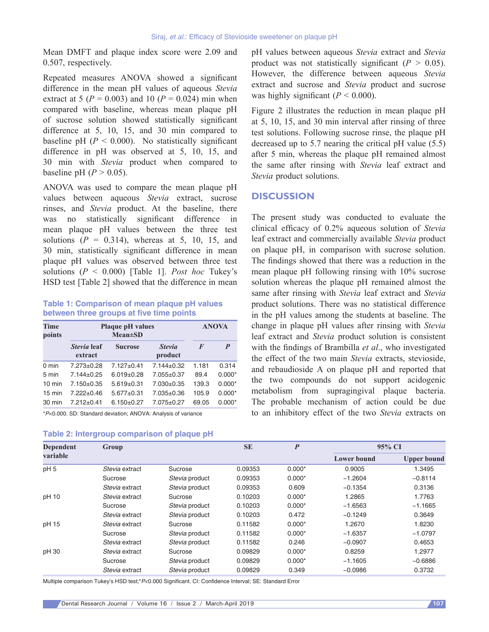Mean DMFT and plaque index score were 2.09 and 0.507, respectively.

Repeated measures ANOVA showed a significant difference in the mean pH values of aqueous *Stevia* extract at 5 ( $P = 0.003$ ) and 10 ( $P = 0.024$ ) min when compared with baseline, whereas mean plaque pH of sucrose solution showed statistically significant difference at 5, 10, 15, and 30 min compared to baseline pH  $(P < 0.000)$ . No statistically significant difference in pH was observed at 5, 10, 15, and 30 min with *Stevia* product when compared to baseline pH  $(P > 0.05)$ .

ANOVA was used to compare the mean plaque pH values between aqueous *Stevia* extract, sucrose rinses, and *Stevia* product. At the baseline, there was no statistically significant difference in mean plaque pH values between the three test solutions  $(P = 0.314)$ , whereas at 5, 10, 15, and 30 min, statistically significant difference in mean plaque pH values was observed between three test solutions  $(P < 0.000)$  [Table 1]. *Post hoc* Tukey's HSD test [Table 2] showed that the difference in mean

#### **Table 1: Comparison of mean plaque pH values between three groups at five time points**

| Time<br>points   | <b>Plaque pH</b> values | <b>ANOVA</b>     |                          |          |          |
|------------------|-------------------------|------------------|--------------------------|----------|----------|
|                  | Stevia leaf<br>extract  | <b>Sucrose</b>   | <b>Stevia</b><br>product | $\bm{F}$ | P        |
| $0 \text{ min}$  | $7.273 \pm 0.28$        | $7.127 \pm 0.41$ | $7.144 + 0.32$           | 1.181    | 0.314    |
| 5 min            | $7.144 \pm 0.25$        | $6.019 \pm 0.28$ | $7.055 \pm 0.37$         | 89.4     | $0.000*$ |
| $10 \text{ min}$ | $7.150+0.35$            | $5.619+0.31$     | $7.030+0.35$             | 139.3    | $0.000*$ |
| $15 \text{ min}$ | $7.222 + 0.46$          | $5.677 \pm 0.31$ | $7.035 + 0.36$           | 105.9    | $0.000*$ |
| 30 min           | $7.212 + 0.41$          | $6.150+0.27$     | $7.075 + 0.27$           | 69.05    | $0.000*$ |
|                  |                         |                  |                          |          |          |

\*P<0.000. SD: Standard deviation; ANOVA: Analysis of variance

#### **Table 2: Intergroup comparison of plaque pH**

pH values between aqueous *Stevia* extract and *Stevia* product was not statistically significant  $(P > 0.05)$ . However, the difference between aqueous *Stevia* extract and sucrose and *Stevia* product and sucrose was highly significant  $(P < 0.000)$ .

Figure 2 illustrates the reduction in mean plaque pH at 5, 10, 15, and 30 min interval after rinsing of three test solutions. Following sucrose rinse, the plaque pH decreased up to 5.7 nearing the critical pH value (5.5) after 5 min, whereas the plaque pH remained almost the same after rinsing with *Stevia* leaf extract and *Stevia* product solutions.

### **DISCUSSION**

The present study was conducted to evaluate the clinical efficacy of 0.2% aqueous solution of *Stevia* leaf extract and commercially available *Stevia* product on plaque pH, in comparison with sucrose solution. The findings showed that there was a reduction in the mean plaque pH following rinsing with 10% sucrose solution whereas the plaque pH remained almost the same after rinsing with *Stevia* leaf extract and *Stevia* product solutions. There was no statistical difference in the pH values among the students at baseline. The change in plaque pH values after rinsing with *Stevia* leaf extract and *Stevia* product solution is consistent with the findings of Brambilla *et al*., who investigated the effect of the two main *Stevia* extracts, stevioside, and rebaudioside A on plaque pH and reported that the two compounds do not support acidogenic metabolism from supragingival plaque bacteria. The probable mechanism of action could be due to an inhibitory effect of the two *Stevia* extracts on

| <b>Dependent</b><br>variable | Group          |                | <b>SE</b> | $\boldsymbol{P}$ |                    | 95% CI             |  |
|------------------------------|----------------|----------------|-----------|------------------|--------------------|--------------------|--|
|                              |                |                |           |                  | <b>Lower bound</b> | <b>Upper bound</b> |  |
| pH <sub>5</sub>              | Stevia extract | Sucrose        | 0.09353   | $0.000*$         | 0.9005             | 1.3495             |  |
|                              | Sucrose        | Stevia product | 0.09353   | $0.000*$         | $-1.2604$          | $-0.8114$          |  |
|                              | Stevia extract | Stevia product | 0.09353   | 0.609            | $-0.1354$          | 0.3136             |  |
| pH 10                        | Stevia extract | Sucrose        | 0.10203   | $0.000*$         | 1.2865             | 1.7763             |  |
|                              | Sucrose        | Stevia product | 0.10203   | $0.000*$         | $-1.6563$          | $-1.1665$          |  |
|                              | Stevia extract | Stevia product | 0.10203   | 0.472            | $-0.1249$          | 0.3649             |  |
| pH 15                        | Stevia extract | Sucrose        | 0.11582   | $0.000*$         | 1.2670             | 1.8230             |  |
|                              | Sucrose        | Stevia product | 0.11582   | $0.000*$         | $-1.6357$          | $-1.0797$          |  |
|                              | Stevia extract | Stevia product | 0.11582   | 0.246            | $-0.0907$          | 0.4653             |  |
| pH 30                        | Stevia extract | Sucrose        | 0.09829   | $0.000*$         | 0.8259             | 1.2977             |  |
|                              | Sucrose        | Stevia product | 0.09829   | $0.000*$         | $-1.1605$          | $-0.6886$          |  |
|                              | Stevia extract | Stevia product | 0.09829   | 0.349            | $-0.0986$          | 0.3732             |  |

Multiple comparison Tukey's HSD test;\*P<0.000 Significant. CI: Confidence Interval; SE: Standard Error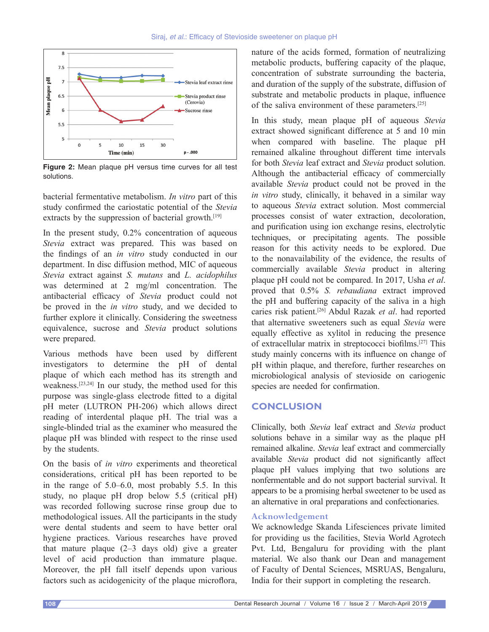

**Figure 2:** Mean plaque pH versus time curves for all test solutions.

bacterial fermentative metabolism. *In vitro* part of this study confirmed the cariostatic potential of the *Stevia* extracts by the suppression of bacterial growth.<sup>[19]</sup>

In the present study, 0.2% concentration of aqueous *Stevia* extract was prepared. This was based on the findings of an *in vitro* study conducted in our department. In disc diffusion method, MIC of aqueous *Stevia* extract against *S. mutans* and *L. acidophilus* was determined at 2 mg/ml concentration. The antibacterial efficacy of *Stevia* product could not be proved in the *in vitro* study, and we decided to further explore it clinically. Considering the sweetness equivalence, sucrose and *Stevia* product solutions were prepared.

Various methods have been used by different investigators to determine the pH of dental plaque of which each method has its strength and weakness.[23,24] In our study, the method used for this purpose was single‑glass electrode fitted to a digital pH meter (LUTRON PH-206) which allows direct reading of interdental plaque pH. The trial was a single-blinded trial as the examiner who measured the plaque pH was blinded with respect to the rinse used by the students.

On the basis of *in vitro* experiments and theoretical considerations, critical pH has been reported to be in the range of 5.0–6.0, most probably 5.5. In this study, no plaque pH drop below 5.5 (critical pH) was recorded following sucrose rinse group due to methodological issues. All the participants in the study were dental students and seem to have better oral hygiene practices. Various researches have proved that mature plaque (2–3 days old) give a greater level of acid production than immature plaque. Moreover, the pH fall itself depends upon various factors such as acidogenicity of the plaque microflora,

nature of the acids formed, formation of neutralizing metabolic products, buffering capacity of the plaque, concentration of substrate surrounding the bacteria, and duration of the supply of the substrate, diffusion of substrate and metabolic products in plaque, influence of the saliva environment of these parameters.[25]

In this study, mean plaque pH of aqueous *Stevia* extract showed significant difference at 5 and 10 min when compared with baseline. The plaque pH remained alkaline throughout different time intervals for both *Stevia* leaf extract and *Stevia* product solution. Although the antibacterial efficacy of commercially available *Stevia* product could not be proved in the *in vitro* study, clinically, it behaved in a similar way to aqueous *Stevia* extract solution. Most commercial processes consist of water extraction, decoloration, and purification using ion exchange resins, electrolytic techniques, or precipitating agents. The possible reason for this activity needs to be explored. Due to the nonavailability of the evidence, the results of commercially available *Stevia* product in altering plaque pH could not be compared. In 2017, Usha *et al*. proved that 0.5% *S. rebaudiana* extract improved the pH and buffering capacity of the saliva in a high caries risk patient.[26] Abdul Razak *et al*. had reported that alternative sweeteners such as equal *Stevia* were equally effective as xylitol in reducing the presence of extracellular matrix in streptococci biofilms.[27] This study mainly concerns with its influence on change of pH within plaque, and therefore, further researches on microbiological analysis of stevioside on cariogenic species are needed for confirmation.

## **CONCLUSION**

Clinically, both *Stevia* leaf extract and *Stevia* product solutions behave in a similar way as the plaque pH remained alkaline. *Stevia* leaf extract and commercially available *Stevia* product did not significantly affect plaque pH values implying that two solutions are nonfermentable and do not support bacterial survival. It appears to be a promising herbal sweetener to be used as an alternative in oral preparations and confectionaries.

## **Acknowledgement**

We acknowledge Skanda Lifesciences private limited for providing us the facilities, Stevia World Agrotech Pvt. Ltd, Bengaluru for providing with the plant material. We also thank our Dean and management of Faculty of Dental Sciences, MSRUAS, Bengaluru, India for their support in completing the research.